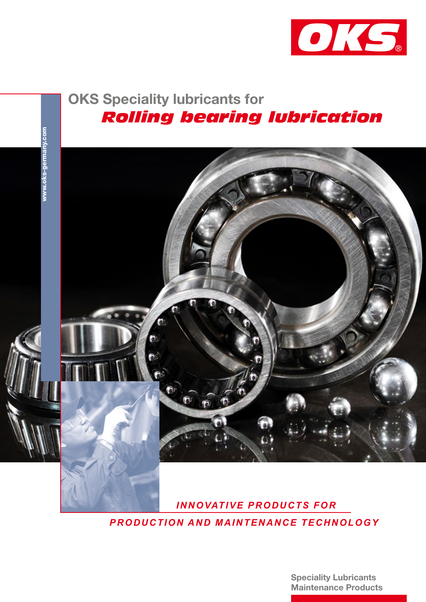

# OKS Speciality lubricants for  *Rolling bearing lubrication*



 *INNOVATIVE PRODUCTS FOR PRODUCTION AND MAINTENANCE TECHNOLOGY*

> Speciality Lubricants Maintenance Products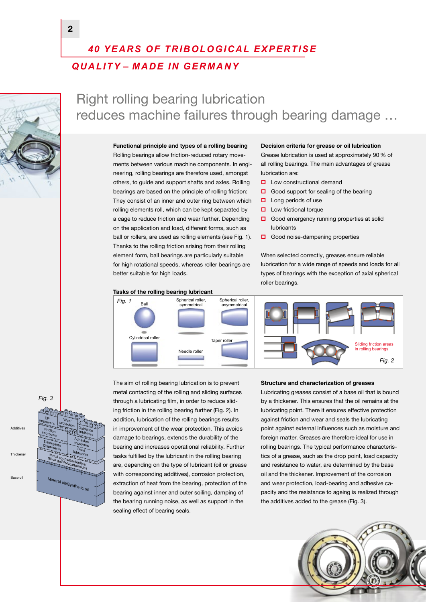## *40 YEARS OF TRIBOLOGICAL EXPERTISE QUALITY – MADE IN GERMANY*



## Right rolling bearing lubrication reduces machine failures through bearing damage …

#### Functional principle and types of a rolling bearing

Rolling bearings allow friction-reduced rotary movements between various machine components. In engineering, rolling bearings are therefore used, amongst others, to guide and support shafts and axles. Rolling bearings are based on the principle of rolling friction: They consist of an inner and outer ring between which rolling elements roll, which can be kept separated by a cage to reduce friction and wear further. Depending on the application and load, different forms, such as ball or rollers, are used as rolling elements (see Fig. 1). Thanks to the rolling friction arising from their rolling element form, ball bearings are particularly suitable for high rotational speeds, whereas roller bearings are better suitable for high loads.

#### Tasks of the rolling bearing lubricant



Decision criteria for grease or oil lubrication

Grease lubrication is used at approximately 90% of all rolling bearings. The main advantages of grease lubrication are:

- **Low constructional demand**
- Good support for sealing of the bearing
- $\Box$  Long periods of use
- **Low frictional torque**
- Good emergency running properties at solid lubricants
- Good noise-dampening properties

When selected correctly, greases ensure reliable lubrication for a wide range of speeds and loads for all types of bearings with the exception of axial spherical roller bearings.



### *Fig. 3*



The aim of rolling bearing lubrication is to prevent metal contacting of the rolling and sliding surfaces through a lubricating film, in order to reduce sliding friction in the rolling bearing further (Fig. 2). In addition, lubrication of the rolling bearings results in improvement of the wear protection. This avoids damage to bearings, extends the durability of the bearing and increases operational reliability. Further tasks fulfilled by the lubricant in the rolling bearing are, depending on the type of lubricant (oil or grease with corresponding additives), corrosion protection, extraction of heat from the bearing, protection of the bearing against inner and outer soiling, damping of the bearing running noise, as well as support in the sealing effect of bearing seals.

#### Structure and characterization of greases

Lubricating greases consist of a base oil that is bound by a thickener. This ensures that the oil remains at the lubricating point. There it ensures effective protection against friction and wear and seals the lubricating point against external influences such as moisture and foreign matter. Greases are therefore ideal for use in rolling bearings. The typical performance characteristics of a grease, such as the drop point, load capacity and resistance to water, are determined by the base oil and the thickener. Improvement of the corrosion and wear protection, load-bearing and adhesive capacity and the resistance to ageing is realized through the additives added to the grease (Fig. 3).

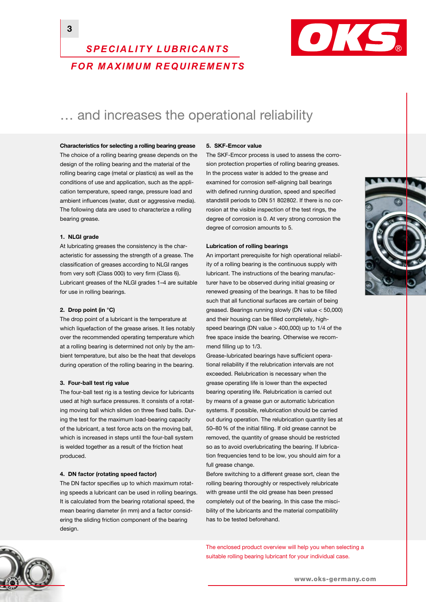### 3



## *SPECIALITY LUBRICANTS FOR MAXIMUM REQUIREMENTS*

## ... and increases the operational reliability

Characteristics for selecting a rolling bearing grease

The choice of a rolling bearing grease depends on the design of the rolling bearing and the material of the rolling bearing cage (metal or plastics) as well as the conditions of use and application, such as the application temperature, speed range, pressure load and ambient influences (water, dust or aggressive media). The following data are used to characterize a rolling bearing grease.

#### 1. NLGI grade

At lubricating greases the consistency is the characteristic for assessing the strength of a grease. The classification of greases according to NLGI ranges from very soft (Class 000) to very firm (Class 6). Lubricant greases of the NLGI grades 1–4 are suitable for use in rolling bearings.

#### 2. Drop point (in °C)

The drop point of a lubricant is the temperature at which liquefaction of the grease arises. It lies notably over the recommended operating temperature which at a rolling bearing is determined not only by the ambient temperature, but also be the heat that develops during operation of the rolling bearing in the bearing.

#### 3. Four-ball test rig value

The four-ball test rig is a testing device for lubricants used at high surface pressures. It consists of a rotating moving ball which slides on three fixed balls. During the test for the maximum load-bearing capacity of the lubricant, a test force acts on the moving ball, which is increased in steps until the four-ball system is welded together as a result of the friction heat produced.

#### 4. DN factor (rotating speed factor)

The DN factor specifies up to which maximum rotating speeds a lubricant can be used in rolling bearings. It is calculated from the bearing rotational speed, the mean bearing diameter (in mm) and a factor considering the sliding friction component of the bearing design.

#### 5. SKF-Emcor value

The SKF-Emcor process is used to assess the corrosion protection properties of rolling bearing greases. In the process water is added to the grease and examined for corrosion self-aligning ball bearings with defined running duration, speed and specified standstill periods to DIN 51 802802. If there is no corrosion at the visible inspection of the test rings, the degree of corrosion is 0. At very strong corrosion the degree of corrosion amounts to 5.

#### Lubrication of rolling bearings

An important prerequisite for high operational reliability of a rolling bearing is the continuous supply with lubricant. The instructions of the bearing manufacturer have to be observed during initial greasing or renewed greasing of the bearings. It has to be filled such that all functional surfaces are certain of being greased. Bearings running slowly (DN value < 50,000) and their housing can be filled completely, highspeed bearings (DN value > 400,000) up to 1/4 of the free space inside the bearing. Otherwise we recommend filling up to 1/3.

Grease-lubricated bearings have sufficient operational reliability if the relubrication intervals are not exceeded. Relubrication is necessary when the grease operating life is lower than the expected bearing operating life. Relubrication is carried out by means of a grease gun or automatic lubrication systems. If possible, relubrication should be carried out during operation. The relubrication quantity lies at 50–80 % of the initial filling. If old grease cannot be removed, the quantity of grease should be restricted so as to avoid overlubricating the bearing. If lubrication frequencies tend to be low, you should aim for a full grease change.

Before switching to a different grease sort, clean the rolling bearing thoroughly or respectively relubricate with grease until the old grease has been pressed completely out of the bearing. In this case the miscibility of the lubricants and the material compatibility has to be tested beforehand.

The enclosed product overview will help you when selecting a suitable rolling bearing lubricant for your individual case.



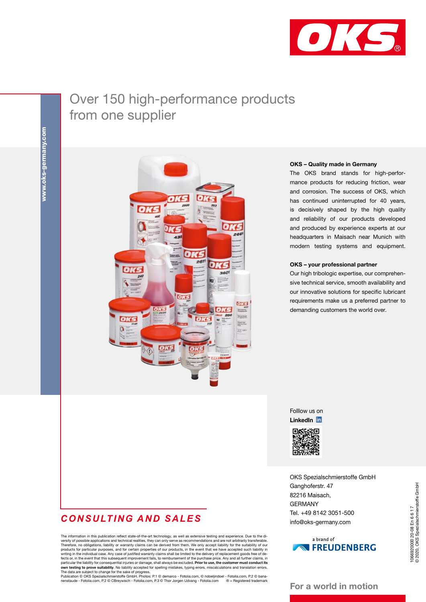

## Over 150 high-performance products from one supplier



#### OKS – Quality made in Germany

The OKS brand stands for high-performance products for reducing friction, wear and corrosion. The success of OKS, which has continued uninterrupted for 40 years, is decisively shaped by the high quality and reliability of our products developed and produced by experience experts at our headquarters in Maisach near Munich with modern testing systems and equipment.

#### OKS – your professional partner

Our high tribologic expertise, our comprehensive technical service, smooth availability and our innovative solutions for specific lubricant requirements make us a preferred partner to demanding customers the world over.

Folllow us on LinkedIn in



OKS Spezialschmierstoffe GmbH Ganghoferstr. 47 82216 Maisach, GERMANY Tel. +49 8142 3051-500 info@oks-germany.com



## *CONSULTING AND SALES*

The information in this publication reflect state-of-the-art technology, as well as extensive testing and experience. Due to the diversity of possible applications and technical realities, they can only serve as recommendations and are not arbitrarily transferable. Therefore, no obligations, liability or warranty claims can be derived from them. We on particular the liability for consequential injuries or damage, shall always be excluded. **Prior to use, the customer must conduct its**<br>**own testing to prove suitability**. No liability accepted for spelling mistakes, typin

nenstaude - Fotolia.com, P.2 © CBreywisch - Fotolia.com, P.3 © Thor Jorgen Udvang - Fotolia.com ® = Registered trademark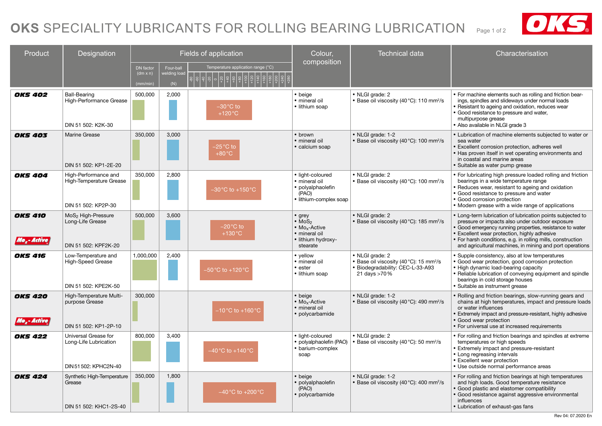# OKS SPECIALITY LUBRICANTS FOR ROLLING BEARING LUBRICATION Page 1 of 2 **CANAC**



| Product                                     | Designation                                                                | Fields of application                           |                                 |                                                    | Colour,                                                                                                                | <b>Technical data</b>                                                                                                       | Characterisation                                                                                                                                                                                                                                                                                                                                   |
|---------------------------------------------|----------------------------------------------------------------------------|-------------------------------------------------|---------------------------------|----------------------------------------------------|------------------------------------------------------------------------------------------------------------------------|-----------------------------------------------------------------------------------------------------------------------------|----------------------------------------------------------------------------------------------------------------------------------------------------------------------------------------------------------------------------------------------------------------------------------------------------------------------------------------------------|
|                                             |                                                                            | <b>DN</b> factor<br>$(dm \times n)$<br>(mm/min) | Four-ball<br>elding loac<br>(N) | Temperature application range (°C)                 | composition                                                                                                            |                                                                                                                             |                                                                                                                                                                                                                                                                                                                                                    |
| <b>OKS 402</b>                              | <b>Ball-Bearing</b><br>High-Performance Grease<br>DIN 51 502: K2K-30       | 500,000                                         | 2,000                           | $-30$ °C to<br>$+120^{\circ}$ C                    | • beige<br>· mineral oil<br>• lithium soap                                                                             | • NLGI grade: 2<br>• Base oil viscosity (40 °C): 110 mm <sup>2</sup> /s                                                     | • For machine elements such as rolling and friction bear-<br>ings, spindles and slideways under normal loads<br>• Resistant to ageing and oxidation, reduces wear<br>• Good resistance to pressure and water,<br>multipurpose grease<br>Also available in NLGI grade 3                                                                             |
| <b>OKS 403</b>                              | <b>Marine Grease</b><br>DIN 51 502: KP1-2E-20                              | 350,000                                         | 3.000                           | $-25^{\circ}$ C to<br>$+80^{\circ}$ C              | • brown<br>· mineral oil<br>• calcium soap                                                                             | • NLGI grade: 1-2<br>• Base oil viscosity (40 °C): 100 mm <sup>2</sup> /s                                                   | • Lubrication of machine elements subjected to water or<br>sea water<br><b>Excellent corrosion protection, adheres well</b><br>• Has proven itself in wet operating environments and<br>in coastal and marine areas<br>• Suitable as water pump grease                                                                                             |
| <b>OKS 404</b>                              | High-Performance and<br>High-Temperature Grease<br>DIN 51 502: KP2P-30     | 350,000                                         | 2,800                           | $-30\,^{\circ}\text{C}$ to +150 $^{\circ}\text{C}$ | • light-coloured<br>· mineral oil<br>· polyalphaolefin<br>(PAO)<br>· lithium-complex soap                              | • NLGI grade: 2<br>• Base oil viscosity (40 °C): 100 mm <sup>2</sup> /s                                                     | • For lubricating high pressure loaded rolling and friction<br>bearings in a wide temperature range<br>• Reduces wear, resistant to ageing and oxidation<br>• Good resistance to pressure and water<br>• Good corrosion protection<br>• Modern grease with a wide range of applications                                                            |
| <b>OKS 410</b><br>Mo <sub>r</sub> -Active ( | MoS <sub>2</sub> High-Pressure<br>Long-Life Grease<br>DIN 51 502: KPF2K-20 | 500,000                                         | 3,600                           | –20°C to<br>$+130^{\circ}$ C                       | $•$ grey<br>$\bullet$ MoS <sub>2</sub><br>• Mo <sub>x</sub> -Active<br>· mineral oil<br>• lithium hydroxy-<br>stearate | • NLGI grade: 2<br>• Base oil viscosity (40 °C): 185 mm <sup>2</sup> /s                                                     | • Long-term lubrication of lubrication points subjected to<br>pressure or impacts also under outdoor exposure<br>Good emergency running properties, resistance to water<br>• Excellent wear protection, highly adhesive<br>• For harsh conditions, e.g. in rolling mills, construction<br>and agricultural machines, in mining and port operations |
| <b>OKS 416</b>                              | Low-Temperature and<br>High-Speed Grease<br>DIN 51 502: KPE2K-50           | 1,000,000                                       | 2,400                           | $-50^{\circ}$ C to +120 $^{\circ}$ C               | • yellow<br>· mineral oil<br>• ester<br>• lithium soap                                                                 | • NLGI grade: 2<br>• Base oil viscosity (40 °C): 15 mm <sup>2</sup> /s<br>• Biodegradability: CEC-L-33-A93<br>21 days >70 % | • Supple consistency, also at low temperatures<br>• Good wear protection, good corrosion protection<br>• High dynamic load-bearing capacity<br>• Reliable lubrication of conveying equipment and spindle<br>bearings in cold storage houses<br>· Suitable as instrument grease                                                                     |
| <b>OKS 420</b><br>Mo <sub>r</sub> -Active ( | High-Temperature Multi-<br>purpose Grease<br>DIN 51 502: KP1-2P-10         | 300,000                                         |                                 | -10 $^{\circ}$ C to +160 $^{\circ}$ C              | • beige<br>$\bullet$ Mo <sub>x</sub> -Active<br>· mineral oil<br>· polycarbamide                                       | • NLGI grade: 1-2<br>• Base oil viscosity (40 °C): 490 mm <sup>2</sup> /s                                                   | • Rolling and friction bearings, slow-running gears and<br>chains at high temperatures, impact and pressure loads<br>or water influences<br>• Extremely impact and pressure-resistant, highly adhesive<br>• Good wear protection<br>• For universal use at increased requirements                                                                  |
| <b>OKS 422</b>                              | Universal Grease for<br>Long-Life Lubrication<br>DIN 51 502: KPHC2N-40     | 800,000                                         | 3,400                           | -40 °C to +140 °C                                  | · light-coloured<br>· polyalphaolefin (PAO)<br>• barium-complex<br>soap                                                | • NLGI grade: 2<br>• Base oil viscosity (40°C): 50 mm <sup>2</sup> /s                                                       | • For rolling and friction bearings and spindles at extreme<br>temperatures or high speeds<br>• Extremely impact and pressure-resistant<br>• Long regreasing intervals<br>• Excellent wear protection<br>• Use outside normal performance areas                                                                                                    |
| <b>OKS 424</b>                              | Synthetic High-Temperature<br>Grease<br>DIN 51 502: KHC1-2S-40             | 350,000                                         | 1,800                           | $-40\degree$ C to $+200\degree$ C                  | • beige<br>• polyalphaolefin<br>(PAO)<br>· polycarbamide                                                               | • NLGI grade: 1-2<br>• Base oil viscosity (40 °C): 400 mm <sup>2</sup> /s                                                   | • For rolling and friction bearings at high temperatures<br>and high loads. Good temperature resistance<br>Good plastic and elastomer compatibility<br>· Good resistance against aggressive environmental<br>influences<br>• Lubrication of exhaust-gas fans                                                                                       |